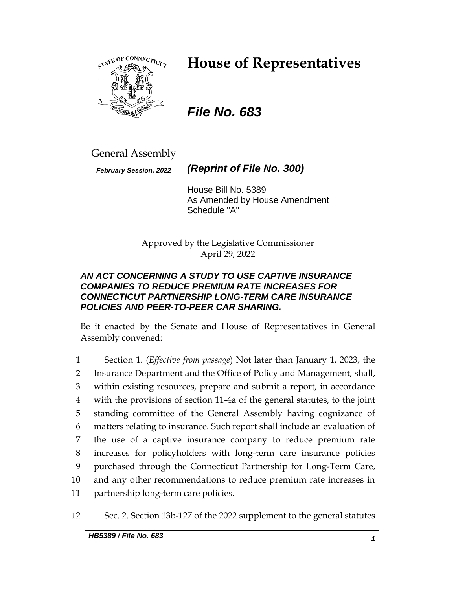

# **House of Representatives**

# *File No. 683*

General Assembly

*February Session, 2022 (Reprint of File No. 300)*

House Bill No. 5389 As Amended by House Amendment Schedule "A"

Approved by the Legislative Commissioner April 29, 2022

### *AN ACT CONCERNING A STUDY TO USE CAPTIVE INSURANCE COMPANIES TO REDUCE PREMIUM RATE INCREASES FOR CONNECTICUT PARTNERSHIP LONG-TERM CARE INSURANCE POLICIES AND PEER-TO-PEER CAR SHARING.*

Be it enacted by the Senate and House of Representatives in General Assembly convened:

 Section 1. (*Effective from passage*) Not later than January 1, 2023, the Insurance Department and the Office of Policy and Management, shall, within existing resources, prepare and submit a report, in accordance with the provisions of section 11-4a of the general statutes, to the joint standing committee of the General Assembly having cognizance of matters relating to insurance. Such report shall include an evaluation of the use of a captive insurance company to reduce premium rate increases for policyholders with long-term care insurance policies purchased through the Connecticut Partnership for Long-Term Care, and any other recommendations to reduce premium rate increases in partnership long-term care policies.

12 Sec. 2. Section 13b-127 of the 2022 supplement to the general statutes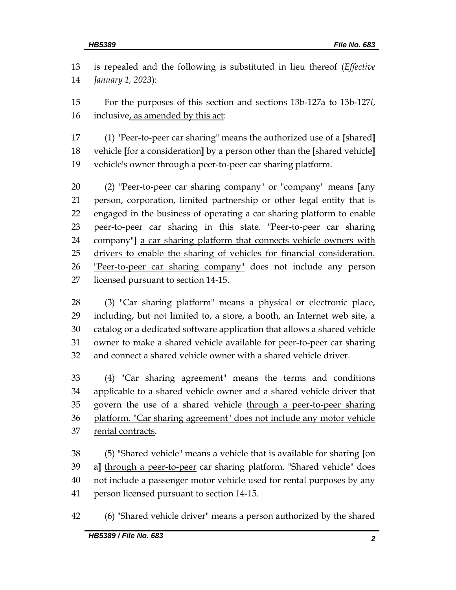is repealed and the following is substituted in lieu thereof (*Effective January 1, 2023*):

 For the purposes of this section and sections 13b-127a to 13b-127*l*, inclusive, as amended by this act:

 (1) "Peer-to-peer car sharing" means the authorized use of a **[**shared**]** vehicle **[**for a consideration**]** by a person other than the **[**shared vehicle**]** vehicle's owner through a peer-to-peer car sharing platform.

 (2) "Peer-to-peer car sharing company" or "company" means **[**any person, corporation, limited partnership or other legal entity that is engaged in the business of operating a car sharing platform to enable peer-to-peer car sharing in this state. "Peer-to-peer car sharing company"**]** a car sharing platform that connects vehicle owners with 25 drivers to enable the sharing of vehicles for financial consideration. 26 "Peer-to-peer car sharing company" does not include any person licensed pursuant to section 14-15.

 (3) "Car sharing platform" means a physical or electronic place, including, but not limited to, a store, a booth, an Internet web site, a catalog or a dedicated software application that allows a shared vehicle owner to make a shared vehicle available for peer-to-peer car sharing and connect a shared vehicle owner with a shared vehicle driver.

 (4) "Car sharing agreement" means the terms and conditions applicable to a shared vehicle owner and a shared vehicle driver that 35 govern the use of a shared vehicle through a peer-to-peer sharing platform. "Car sharing agreement" does not include any motor vehicle rental contracts.

 (5) "Shared vehicle" means a vehicle that is available for sharing **[**on a**]** through a peer-to-peer car sharing platform. "Shared vehicle" does not include a passenger motor vehicle used for rental purposes by any person licensed pursuant to section 14-15.

(6) "Shared vehicle driver" means a person authorized by the shared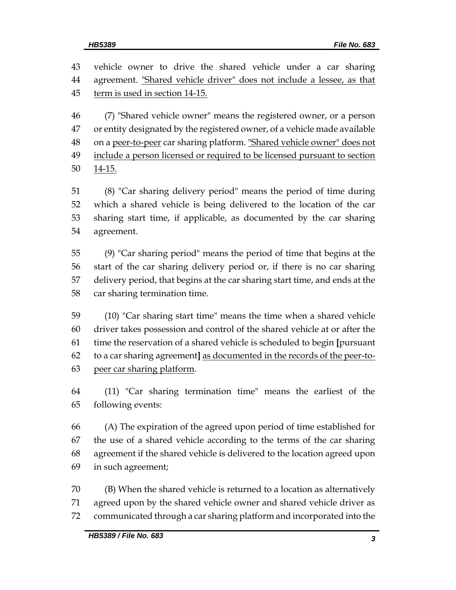vehicle owner to drive the shared vehicle under a car sharing agreement. "Shared vehicle driver" does not include a lessee, as that term is used in section 14-15.

 (7) "Shared vehicle owner" means the registered owner, or a person or entity designated by the registered owner, of a vehicle made available 48 on a peer-to-peer car sharing platform. "Shared vehicle owner" does not include a person licensed or required to be licensed pursuant to section 50 14-15.

 (8) "Car sharing delivery period" means the period of time during which a shared vehicle is being delivered to the location of the car sharing start time, if applicable, as documented by the car sharing agreement.

 (9) "Car sharing period" means the period of time that begins at the start of the car sharing delivery period or, if there is no car sharing delivery period, that begins at the car sharing start time, and ends at the car sharing termination time.

 (10) "Car sharing start time" means the time when a shared vehicle driver takes possession and control of the shared vehicle at or after the time the reservation of a shared vehicle is scheduled to begin **[**pursuant to a car sharing agreement**]** as documented in the records of the peer-to-peer car sharing platform.

 (11) "Car sharing termination time" means the earliest of the following events:

 (A) The expiration of the agreed upon period of time established for the use of a shared vehicle according to the terms of the car sharing agreement if the shared vehicle is delivered to the location agreed upon in such agreement;

 (B) When the shared vehicle is returned to a location as alternatively agreed upon by the shared vehicle owner and shared vehicle driver as communicated through a car sharing platform and incorporated into the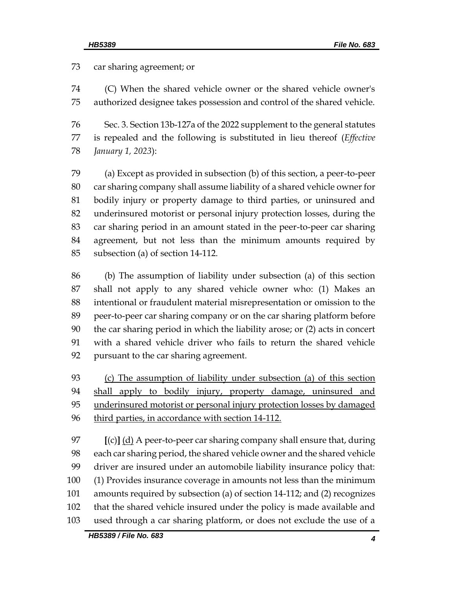car sharing agreement; or

 (C) When the shared vehicle owner or the shared vehicle owner's authorized designee takes possession and control of the shared vehicle.

 Sec. 3. Section 13b-127a of the 2022 supplement to the general statutes is repealed and the following is substituted in lieu thereof (*Effective January 1, 2023*):

 (a) Except as provided in subsection (b) of this section, a peer-to-peer car sharing company shall assume liability of a shared vehicle owner for bodily injury or property damage to third parties, or uninsured and underinsured motorist or personal injury protection losses, during the car sharing period in an amount stated in the peer-to-peer car sharing agreement, but not less than the minimum amounts required by subsection (a) of section 14-112.

 (b) The assumption of liability under subsection (a) of this section shall not apply to any shared vehicle owner who: (1) Makes an intentional or fraudulent material misrepresentation or omission to the peer-to-peer car sharing company or on the car sharing platform before the car sharing period in which the liability arose; or (2) acts in concert with a shared vehicle driver who fails to return the shared vehicle pursuant to the car sharing agreement.

 (c) The assumption of liability under subsection (a) of this section 94 shall apply to bodily injury, property damage, uninsured and 95 underinsured motorist or personal injury protection losses by damaged third parties, in accordance with section 14-112.

 **[**(c)**]** (d) A peer-to-peer car sharing company shall ensure that, during each car sharing period, the shared vehicle owner and the shared vehicle driver are insured under an automobile liability insurance policy that: (1) Provides insurance coverage in amounts not less than the minimum amounts required by subsection (a) of section 14-112; and (2) recognizes that the shared vehicle insured under the policy is made available and used through a car sharing platform, or does not exclude the use of a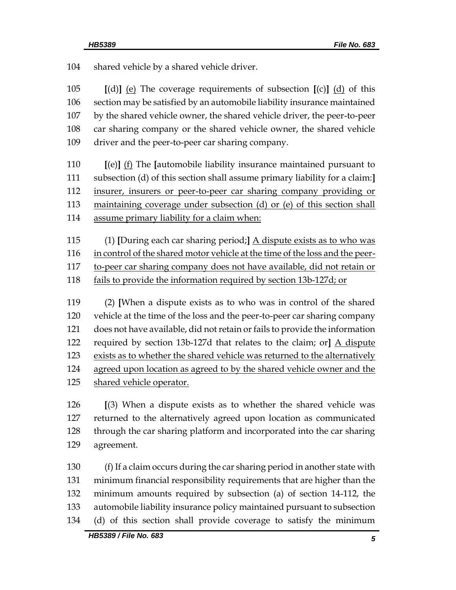shared vehicle by a shared vehicle driver. **[**(d)**]** (e) The coverage requirements of subsection **[**(c)**]** (d) of this section may be satisfied by an automobile liability insurance maintained by the shared vehicle owner, the shared vehicle driver, the peer-to-peer car sharing company or the shared vehicle owner, the shared vehicle driver and the peer-to-peer car sharing company. **[**(e)**]** (f) The **[**automobile liability insurance maintained pursuant to subsection (d) of this section shall assume primary liability for a claim:**]** insurer, insurers or peer-to-peer car sharing company providing or maintaining coverage under subsection (d) or (e) of this section shall assume primary liability for a claim when: (1) **[**During each car sharing period;**]** A dispute exists as to who was 116 in control of the shared motor vehicle at the time of the loss and the peer- to-peer car sharing company does not have available, did not retain or fails to provide the information required by section 13b-127d; or (2) **[**When a dispute exists as to who was in control of the shared vehicle at the time of the loss and the peer-to-peer car sharing company does not have available, did not retain or fails to provide the information required by section 13b-127d that relates to the claim; or**]** A dispute exists as to whether the shared vehicle was returned to the alternatively agreed upon location as agreed to by the shared vehicle owner and the shared vehicle operator.

 **[**(3) When a dispute exists as to whether the shared vehicle was returned to the alternatively agreed upon location as communicated through the car sharing platform and incorporated into the car sharing agreement.

 (f) If a claim occurs during the car sharing period in another state with minimum financial responsibility requirements that are higher than the minimum amounts required by subsection (a) of section 14-112, the automobile liability insurance policy maintained pursuant to subsection (d) of this section shall provide coverage to satisfy the minimum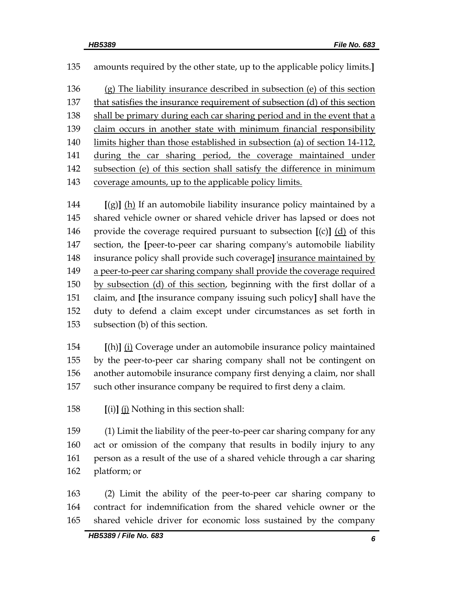amounts required by the other state, up to the applicable policy limits.**]**

 (g) The liability insurance described in subsection (e) of this section 137 that satisfies the insurance requirement of subsection (d) of this section shall be primary during each car sharing period and in the event that a claim occurs in another state with minimum financial responsibility limits higher than those established in subsection (a) of section 14-112, during the car sharing period, the coverage maintained under subsection (e) of this section shall satisfy the difference in minimum coverage amounts, up to the applicable policy limits.

 **[**(g)**]** (h) If an automobile liability insurance policy maintained by a shared vehicle owner or shared vehicle driver has lapsed or does not provide the coverage required pursuant to subsection **[**(c)**]** (d) of this section, the **[**peer-to-peer car sharing company's automobile liability insurance policy shall provide such coverage**]** insurance maintained by a peer-to-peer car sharing company shall provide the coverage required 150 by subsection (d) of this section, beginning with the first dollar of a claim, and **[**the insurance company issuing such policy**]** shall have the duty to defend a claim except under circumstances as set forth in subsection (b) of this section.

 **[**(h)**]** (i) Coverage under an automobile insurance policy maintained by the peer-to-peer car sharing company shall not be contingent on another automobile insurance company first denying a claim, nor shall such other insurance company be required to first deny a claim.

**[**(i)**]** (j) Nothing in this section shall:

 (1) Limit the liability of the peer-to-peer car sharing company for any act or omission of the company that results in bodily injury to any person as a result of the use of a shared vehicle through a car sharing platform; or

 (2) Limit the ability of the peer-to-peer car sharing company to contract for indemnification from the shared vehicle owner or the shared vehicle driver for economic loss sustained by the company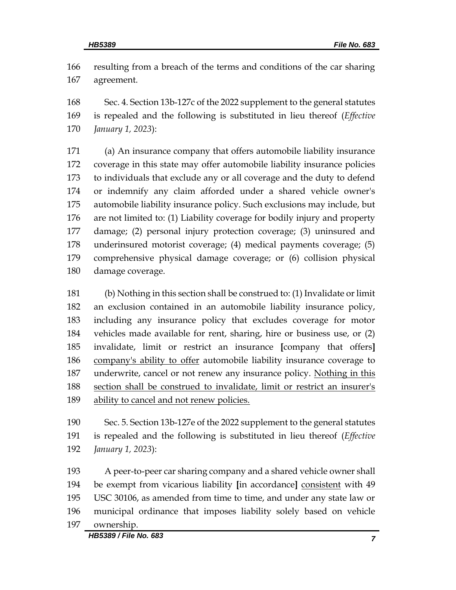resulting from a breach of the terms and conditions of the car sharing agreement.

 Sec. 4. Section 13b-127c of the 2022 supplement to the general statutes is repealed and the following is substituted in lieu thereof (*Effective January 1, 2023*):

 (a) An insurance company that offers automobile liability insurance coverage in this state may offer automobile liability insurance policies to individuals that exclude any or all coverage and the duty to defend or indemnify any claim afforded under a shared vehicle owner's automobile liability insurance policy. Such exclusions may include, but are not limited to: (1) Liability coverage for bodily injury and property damage; (2) personal injury protection coverage; (3) uninsured and underinsured motorist coverage; (4) medical payments coverage; (5) comprehensive physical damage coverage; or (6) collision physical damage coverage.

 (b) Nothing in this section shall be construed to: (1) Invalidate or limit an exclusion contained in an automobile liability insurance policy, including any insurance policy that excludes coverage for motor vehicles made available for rent, sharing, hire or business use, or (2) invalidate, limit or restrict an insurance **[**company that offers**]** company's ability to offer automobile liability insurance coverage to underwrite, cancel or not renew any insurance policy. Nothing in this section shall be construed to invalidate, limit or restrict an insurer's ability to cancel and not renew policies.

 Sec. 5. Section 13b-127e of the 2022 supplement to the general statutes is repealed and the following is substituted in lieu thereof (*Effective January 1, 2023*):

 A peer-to-peer car sharing company and a shared vehicle owner shall be exempt from vicarious liability **[**in accordance**]** consistent with 49 USC 30106, as amended from time to time, and under any state law or municipal ordinance that imposes liability solely based on vehicle ownership.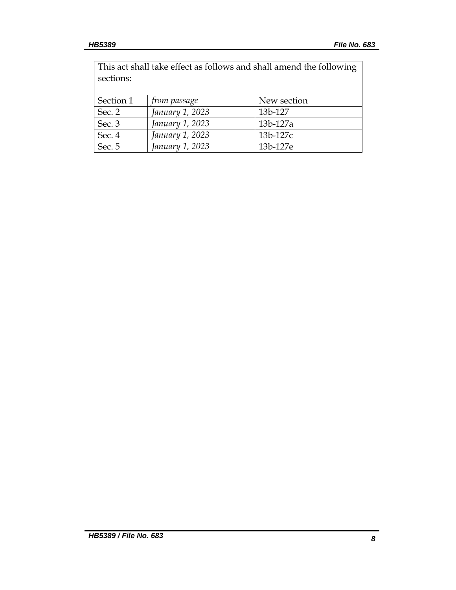| This act shall take effect as follows and shall amend the following<br>sections: |                 |             |
|----------------------------------------------------------------------------------|-----------------|-------------|
| Section 1                                                                        | from passage    | New section |
| Sec. 2                                                                           | January 1, 2023 | 13b-127     |
| Sec. 3                                                                           | January 1, 2023 | 13b-127a    |
| Sec. 4                                                                           | January 1, 2023 | 13b-127c    |
| Sec. 5                                                                           | January 1, 2023 | 13b-127e    |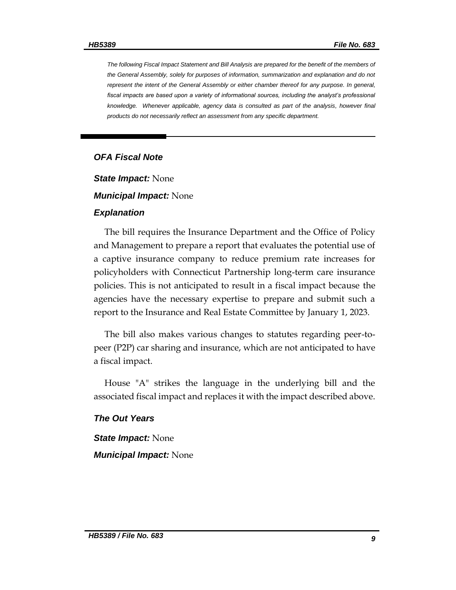*The following Fiscal Impact Statement and Bill Analysis are prepared for the benefit of the members of the General Assembly, solely for purposes of information, summarization and explanation and do not represent the intent of the General Assembly or either chamber thereof for any purpose. In general,*  fiscal impacts are based upon a variety of informational sources, including the analyst's professional knowledge. Whenever applicable, agency data is consulted as part of the analysis, however final *products do not necessarily reflect an assessment from any specific department.*

#### *OFA Fiscal Note*

*State Impact:* None

#### *Municipal Impact:* None

#### *Explanation*

The bill requires the Insurance Department and the Office of Policy and Management to prepare a report that evaluates the potential use of a captive insurance company to reduce premium rate increases for policyholders with Connecticut Partnership long-term care insurance policies. This is not anticipated to result in a fiscal impact because the agencies have the necessary expertise to prepare and submit such a report to the Insurance and Real Estate Committee by January 1, 2023.

The bill also makes various changes to statutes regarding peer-topeer (P2P) car sharing and insurance, which are not anticipated to have a fiscal impact.

House "A" strikes the language in the underlying bill and the associated fiscal impact and replaces it with the impact described above.

#### *The Out Years*

*State Impact:* None

*Municipal Impact:* None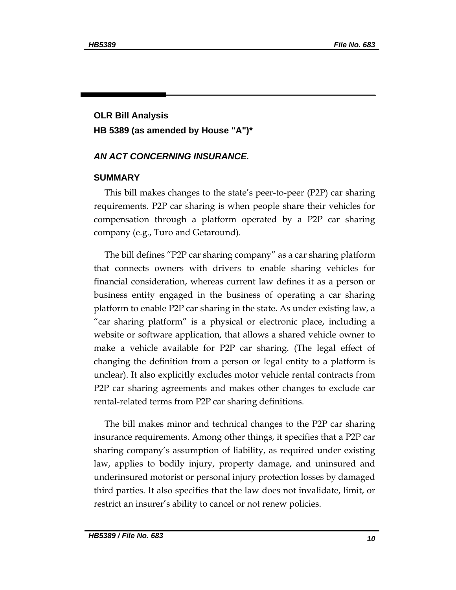## **OLR Bill Analysis HB 5389 (as amended by House "A")\***

#### *AN ACT CONCERNING INSURANCE.*

#### **SUMMARY**

This bill makes changes to the state's peer-to-peer (P2P) car sharing requirements. P2P car sharing is when people share their vehicles for compensation through a platform operated by a P2P car sharing company (e.g., Turo and Getaround).

The bill defines "P2P car sharing company" as a car sharing platform that connects owners with drivers to enable sharing vehicles for financial consideration, whereas current law defines it as a person or business entity engaged in the business of operating a car sharing platform to enable P2P car sharing in the state. As under existing law, a "car sharing platform" is a physical or electronic place, including a website or software application, that allows a shared vehicle owner to make a vehicle available for P2P car sharing. (The legal effect of changing the definition from a person or legal entity to a platform is unclear). It also explicitly excludes motor vehicle rental contracts from P2P car sharing agreements and makes other changes to exclude car rental-related terms from P2P car sharing definitions.

The bill makes minor and technical changes to the P2P car sharing insurance requirements. Among other things, it specifies that a P2P car sharing company's assumption of liability, as required under existing law, applies to bodily injury, property damage, and uninsured and underinsured motorist or personal injury protection losses by damaged third parties. It also specifies that the law does not invalidate, limit, or restrict an insurer's ability to cancel or not renew policies.